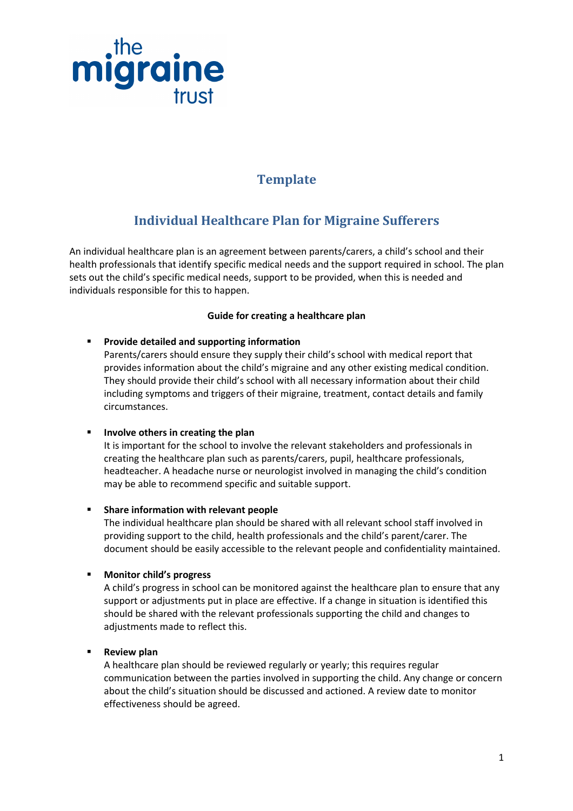

### **Template**

## Individual Healthcare Plan for Migraine Sufferers

An individual healthcare plan is an agreement between parents/carers, a child's school and their health professionals that identify specific medical needs and the support required in school. The plan sets out the child's specific medical needs, support to be provided, when this is needed and individuals responsible for this to happen.

#### Guide for creating a healthcare plan

#### **Provide detailed and supporting information**

Parents/carers should ensure they supply their child's school with medical report that provides information about the child's migraine and any other existing medical condition. They should provide their child's school with all necessary information about their child including symptoms and triggers of their migraine, treatment, contact details and family circumstances.

#### Involve others in creating the plan

It is important for the school to involve the relevant stakeholders and professionals in creating the healthcare plan such as parents/carers, pupil, healthcare professionals, headteacher. A headache nurse or neurologist involved in managing the child's condition may be able to recommend specific and suitable support.

#### **F** Share information with relevant people

The individual healthcare plan should be shared with all relevant school staff involved in providing support to the child, health professionals and the child's parent/carer. The document should be easily accessible to the relevant people and confidentiality maintained.

#### **Nonitor child's progress**

A child's progress in school can be monitored against the healthcare plan to ensure that any support or adjustments put in place are effective. If a change in situation is identified this should be shared with the relevant professionals supporting the child and changes to adjustments made to reflect this.

#### Review plan

A healthcare plan should be reviewed regularly or yearly; this requires regular communication between the parties involved in supporting the child. Any change or concern about the child's situation should be discussed and actioned. A review date to monitor effectiveness should be agreed.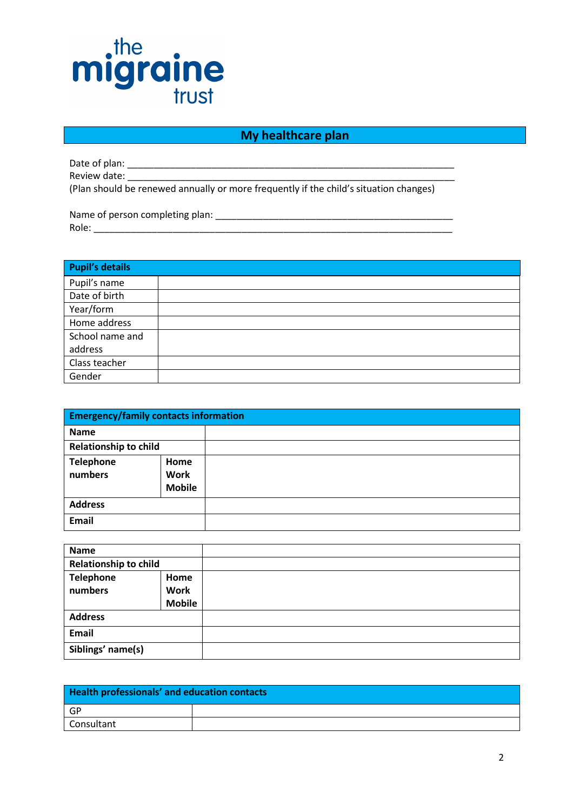# migraine trust

#### My healthcare plan

Date of plan: \_\_\_\_\_\_\_\_\_\_\_\_\_\_\_\_\_\_\_\_\_\_\_\_\_\_\_\_\_\_\_\_\_\_\_\_\_\_\_\_\_\_\_\_\_\_\_\_\_\_\_\_\_\_\_\_\_\_\_\_\_\_ Review date: \_\_\_\_\_\_\_\_\_\_\_\_\_\_\_\_\_\_\_\_\_\_\_\_\_\_\_\_\_\_\_\_\_\_\_\_\_\_\_\_\_\_\_\_\_\_\_\_\_\_\_\_\_\_\_\_\_\_\_\_\_\_

(Plan should be renewed annually or more frequently if the child's situation changes)

Name of person completing plan: \_\_\_\_\_\_\_\_\_\_\_\_\_\_\_\_\_\_\_\_\_\_\_\_\_\_\_\_\_\_\_\_\_\_\_\_\_\_\_\_\_\_\_\_\_ Role:

| <b>Pupil's details</b> |  |
|------------------------|--|
| Pupil's name           |  |
| Date of birth          |  |
| Year/form              |  |
| Home address           |  |
| School name and        |  |
| address                |  |
| Class teacher          |  |
| Gender                 |  |

| <b>Emergency/family contacts information</b> |                                             |  |
|----------------------------------------------|---------------------------------------------|--|
| <b>Name</b>                                  |                                             |  |
| <b>Relationship to child</b>                 |                                             |  |
| <b>Telephone</b><br>numbers                  | <b>Home</b><br><b>Work</b><br><b>Mobile</b> |  |
| <b>Address</b>                               |                                             |  |
| Email                                        |                                             |  |

| <b>Name</b>                  |                                      |  |
|------------------------------|--------------------------------------|--|
| <b>Relationship to child</b> |                                      |  |
| <b>Telephone</b><br>numbers  | Home<br><b>Work</b><br><b>Mobile</b> |  |
| <b>Address</b>               |                                      |  |
| Email                        |                                      |  |
| Siblings' name(s)            |                                      |  |

| <b>Health professionals' and education contacts</b> |  |
|-----------------------------------------------------|--|
| $\overline{\phantom{a}}$ GP                         |  |
| <b>Consultant</b>                                   |  |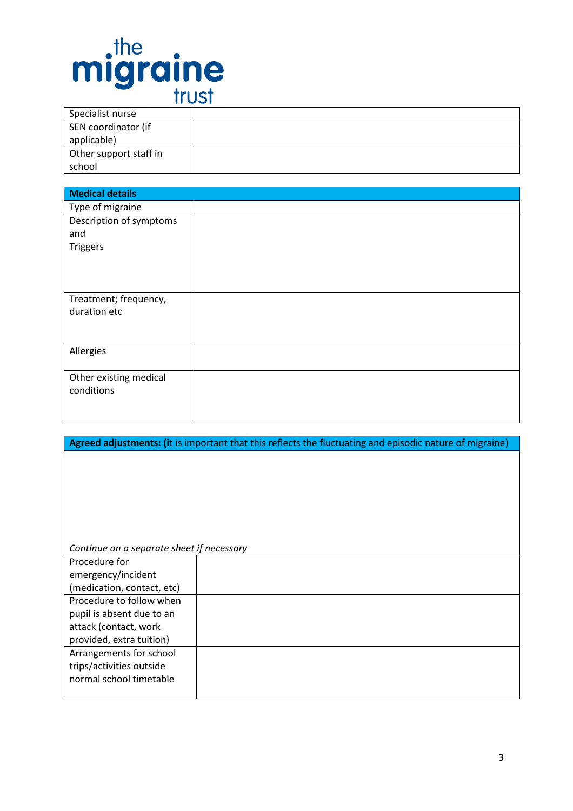

| Specialist nurse       |  |
|------------------------|--|
| SEN coordinator (if    |  |
| applicable)            |  |
| Other support staff in |  |
| school                 |  |

| <b>Medical details</b>  |  |
|-------------------------|--|
| Type of migraine        |  |
| Description of symptoms |  |
| and                     |  |
| <b>Triggers</b>         |  |
|                         |  |
|                         |  |
|                         |  |
| Treatment; frequency,   |  |
| duration etc            |  |
|                         |  |
|                         |  |
| Allergies               |  |
|                         |  |
| Other existing medical  |  |
| conditions              |  |
|                         |  |
|                         |  |

| Agreed adjustments: (it is important that this reflects the fluctuating and episodic nature of migraine) |  |  |
|----------------------------------------------------------------------------------------------------------|--|--|
|                                                                                                          |  |  |
|                                                                                                          |  |  |
|                                                                                                          |  |  |
|                                                                                                          |  |  |
|                                                                                                          |  |  |
|                                                                                                          |  |  |
|                                                                                                          |  |  |
| Continue on a separate sheet if necessary                                                                |  |  |
| Procedure for                                                                                            |  |  |
| emergency/incident                                                                                       |  |  |
| (medication, contact, etc)                                                                               |  |  |
| Procedure to follow when                                                                                 |  |  |
| pupil is absent due to an                                                                                |  |  |
| attack (contact, work                                                                                    |  |  |
| provided, extra tuition)                                                                                 |  |  |
| Arrangements for school                                                                                  |  |  |
| trips/activities outside                                                                                 |  |  |
| normal school timetable                                                                                  |  |  |
|                                                                                                          |  |  |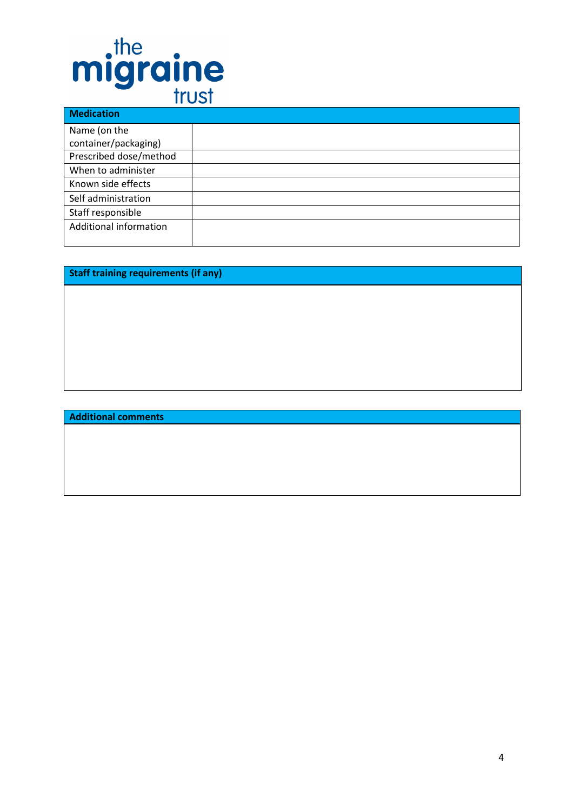# migraine

| <b>Medication</b>      |  |
|------------------------|--|
| Name (on the           |  |
| container/packaging)   |  |
| Prescribed dose/method |  |
| When to administer     |  |
| Known side effects     |  |
| Self administration    |  |
| Staff responsible      |  |
| Additional information |  |
|                        |  |

Staff training requirements (if any)

#### Additional comments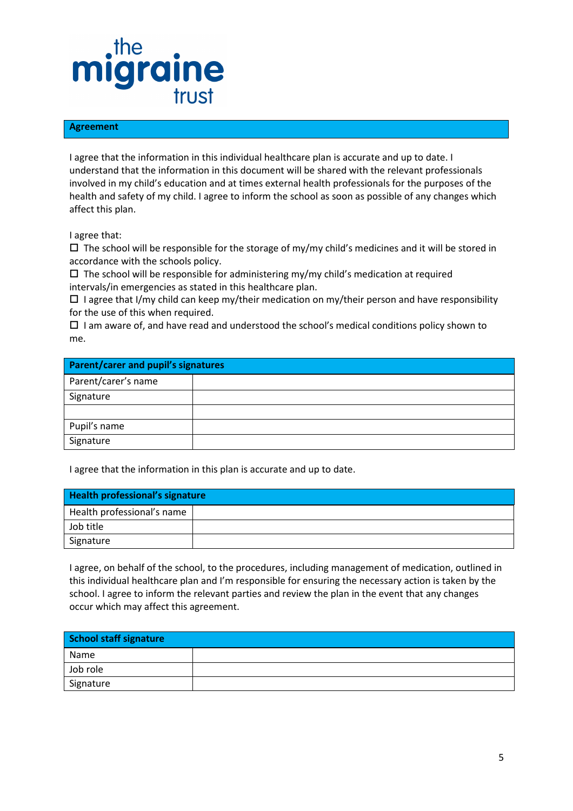## migraine trust

#### Agreement

I agree that the information in this individual healthcare plan is accurate and up to date. I understand that the information in this document will be shared with the relevant professionals involved in my child's education and at times external health professionals for the purposes of the health and safety of my child. I agree to inform the school as soon as possible of any changes which affect this plan.

I agree that:

 $\Box$  The school will be responsible for the storage of my/my child's medicines and it will be stored in accordance with the schools policy.

- The school will be responsible for administering my/my child's medication at required intervals/in emergencies as stated in this healthcare plan.

□ I agree that I/my child can keep my/their medication on my/their person and have responsibility for the use of this when required.

□ I am aware of, and have read and understood the school's medical conditions policy shown to me.

| <b>Parent/carer and pupil's signatures</b> |  |
|--------------------------------------------|--|
| Parent/carer's name                        |  |
| Signature                                  |  |
|                                            |  |
| Pupil's name                               |  |
| Signature                                  |  |

I agree that the information in this plan is accurate and up to date.

| Health professional's signature |  |
|---------------------------------|--|
| Health professional's name      |  |
| Job title                       |  |
| Signature                       |  |

I agree, on behalf of the school, to the procedures, including management of medication, outlined in this individual healthcare plan and I'm responsible for ensuring the necessary action is taken by the school. I agree to inform the relevant parties and review the plan in the event that any changes occur which may affect this agreement.

| School staff signature |  |
|------------------------|--|
| Name                   |  |
| Job role               |  |
| Signature              |  |